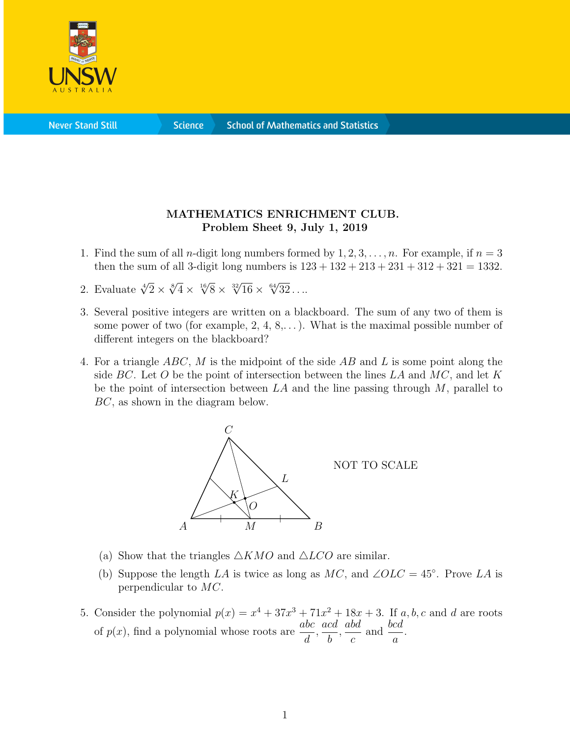

**Science** 

## MATHEMATICS ENRICHMENT CLUB. Problem Sheet 9, July 1, 2019

- 1. Find the sum of all *n*-digit long numbers formed by  $1, 2, 3, \ldots, n$ . For example, if  $n = 3$ then the sum of all 3-digit long numbers is  $123 + 132 + 213 + 231 + 312 + 321 = 1332$ .
- 2. Evaluate  $\sqrt[4]{2} \times \sqrt[8]{4} \times \sqrt[16]{8} \times \sqrt[32]{16} \times \sqrt[64]{32} \dots$
- 3. Several positive integers are written on a blackboard. The sum of any two of them is some power of two (for example,  $2, 4, 8, \ldots$ ). What is the maximal possible number of different integers on the blackboard?
- 4. For a triangle ABC, M is the midpoint of the side AB and L is some point along the side BC. Let O be the point of intersection between the lines  $LA$  and  $MC$ , and let K be the point of intersection between  $LA$  and the line passing through  $M$ , parallel to BC, as shown in the diagram below.



- (a) Show that the triangles  $\triangle KMO$  and  $\triangle LCO$  are similar.
- (b) Suppose the length LA is twice as long as MC, and  $\angle OLC = 45^{\circ}$ . Prove LA is perpendicular to MC.
- 5. Consider the polynomial  $p(x) = x^4 + 37x^3 + 71x^2 + 18x + 3$ . If a, b, c and d are roots of  $p(x)$ , find a polynomial whose roots are  $\frac{abc}{dx}$ d , acd b , abd c and  $\frac{bcd}{ }$ a .